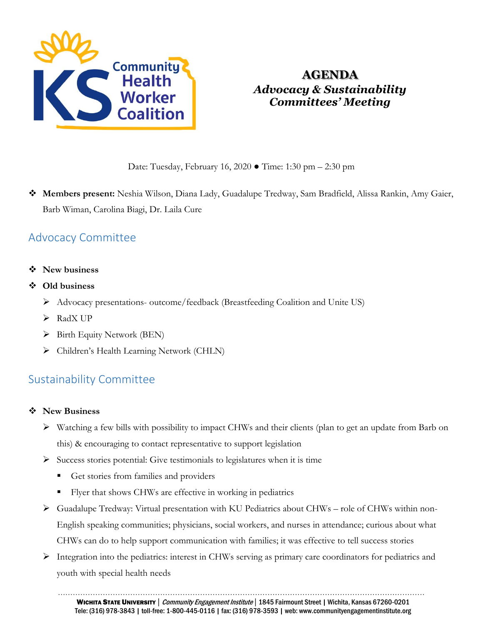

# **AGENDA** *Advocacy & Sustainability Committees' Meeting*

Date: Tuesday, February 16, 2020 ● Time: 1:30 pm – 2:30 pm

 **Members present:** Neshia Wilson, Diana Lady, Guadalupe Tredway, Sam Bradfield, Alissa Rankin, Amy Gaier, Barb Wiman, Carolina Biagi, Dr. Laila Cure

## Advocacy Committee

- **New business**
- **Old business**
	- $\triangleright$  Advocacy presentations- outcome/feedback (Breastfeeding Coalition and Unite US)
	- $\triangleright$  RadX UP
	- $\triangleright$  Birth Equity Network (BEN)
	- Children's Health Learning Network (CHLN)

## Sustainability Committee

### **New Business**

- Watching a few bills with possibility to impact CHWs and their clients (plan to get an update from Barb on this) & encouraging to contact representative to support legislation
- $\triangleright$  Success stories potential: Give testimonials to legislatures when it is time
	- Get stories from families and providers
	- Flyer that shows CHWs are effective in working in pediatrics
- Guadalupe Tredway: Virtual presentation with KU Pediatrics about CHWs role of CHWs within non-English speaking communities; physicians, social workers, and nurses in attendance; curious about what CHWs can do to help support communication with families; it was effective to tell success stories
- Integration into the pediatrics: interest in CHWs serving as primary care coordinators for pediatrics and youth with special health needs

…………………………………………………………………………………………………………………………………

WICHITA STATE UNIVERSITY | Community Engagement Institute | 1845 Fairmount Street | Wichita, Kansas 67260-0201 Tele: (316) 978-3843 | toll-free: 1-800-445-0116 | fax: (316) 978-3593 | web: www.communityengagementinstitute.org